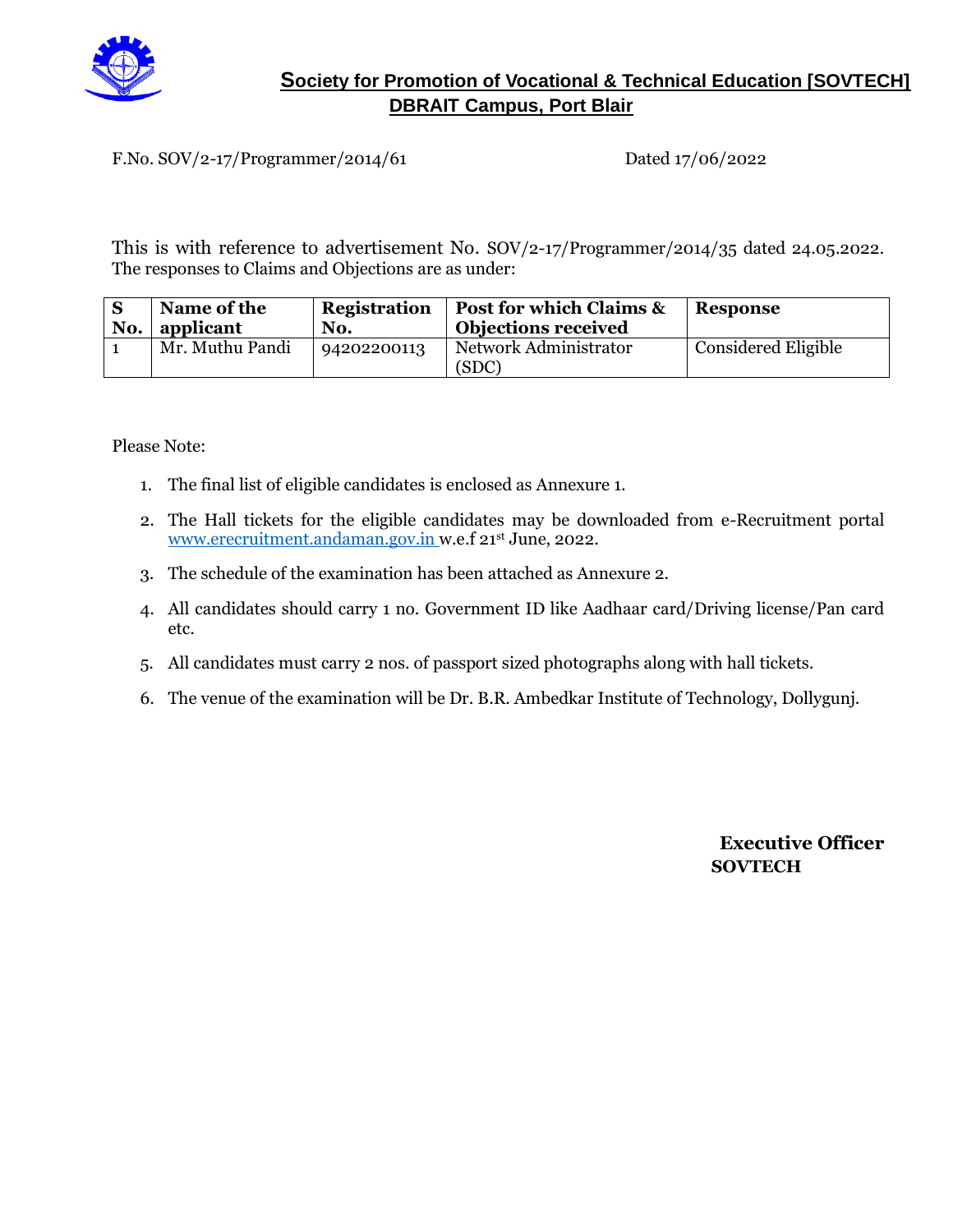

#### **Society for Promotion of Vocational & Technical Education [SOVTECH] DBRAIT Campus, Port Blair**

F.No. SOV/2-17/Programmer/2014/61 Dated 17/06/2022

This is with reference to advertisement No. SOV/2-17/Programmer/2014/35 dated 24.05.2022. The responses to Claims and Objections are as under:

| No. | Name of the<br>applicant | <b>Registration</b><br>No. | <b>Post for which Claims &amp;</b><br><b>Objections received</b> | <b>Response</b>            |
|-----|--------------------------|----------------------------|------------------------------------------------------------------|----------------------------|
|     | Mr. Muthu Pandi          | 94202200113                | Network Administrator<br>(SDC)                                   | <b>Considered Eligible</b> |

Please Note:

- 1. The final list of eligible candidates is enclosed as Annexure 1.
- 2. The Hall tickets for the eligible candidates may be downloaded from e-Recruitment portal [www.erecruitment.andaman.gov.in](http://www.erecruitment.andaman.gov.in/) w.e.f 21st June, 2022.
- 3. The schedule of the examination has been attached as Annexure 2.
- 4. All candidates should carry 1 no. Government ID like Aadhaar card/Driving license/Pan card etc.
- 5. All candidates must carry 2 nos. of passport sized photographs along with hall tickets.
- 6. The venue of the examination will be Dr. B.R. Ambedkar Institute of Technology, Dollygunj.

**Executive Officer SOVTECH**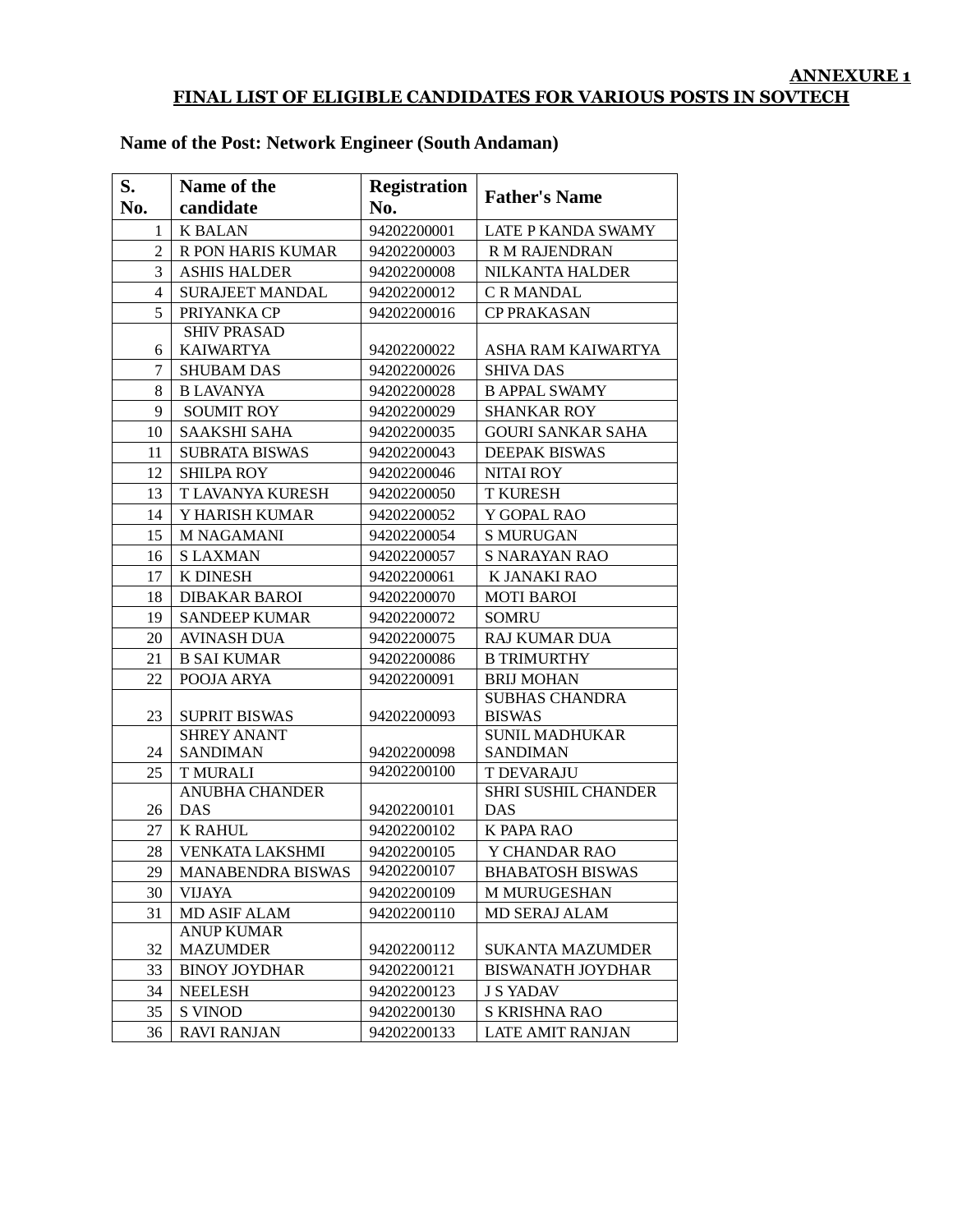#### **ANNEXURE 1 FINAL LIST OF ELIGIBLE CANDIDATES FOR VARIOUS POSTS IN SOVTECH**

| S.             | Name of the              | <b>Registration</b> | <b>Father's Name</b>     |
|----------------|--------------------------|---------------------|--------------------------|
| No.            | candidate                | No.                 |                          |
| 1              | <b>K BALAN</b>           | 94202200001         | LATE P KANDA SWAMY       |
| $\overline{2}$ | R PON HARIS KUMAR        | 94202200003         | R M RAJENDRAN            |
| 3              | <b>ASHIS HALDER</b>      | 94202200008         | <b>NILKANTA HALDER</b>   |
| $\overline{4}$ | <b>SURAJEET MANDAL</b>   | 94202200012         | C R MANDAL               |
| 5              | PRIYANKA CP              | 94202200016         | <b>CP PRAKASAN</b>       |
|                | <b>SHIV PRASAD</b>       |                     |                          |
| 6              | <b>KAIWARTYA</b>         | 94202200022         | ASHA RAM KAIWARTYA       |
| $\tau$         | <b>SHUBAM DAS</b>        | 94202200026         | <b>SHIVA DAS</b>         |
| 8              | <b>B LAVANYA</b>         | 94202200028         | <b>B APPAL SWAMY</b>     |
| 9              | <b>SOUMIT ROY</b>        | 94202200029         | <b>SHANKAR ROY</b>       |
| 10             | <b>SAAKSHI SAHA</b>      | 94202200035         | <b>GOURI SANKAR SAHA</b> |
| 11             | <b>SUBRATA BISWAS</b>    | 94202200043         | DEEPAK BISWAS            |
| 12             | <b>SHILPA ROY</b>        | 94202200046         | <b>NITAI ROY</b>         |
| 13             | T LAVANYA KURESH         | 94202200050         | <b>T KURESH</b>          |
| 14             | Y HARISH KUMAR           | 94202200052         | Y GOPAL RAO              |
| 15             | <b>M NAGAMANI</b>        | 94202200054         | <b>S MURUGAN</b>         |
| 16             | <b>SLAXMAN</b>           | 94202200057         | <b>S NARAYAN RAO</b>     |
| 17             | <b>K DINESH</b>          | 94202200061         | K JANAKI RAO             |
| 18             | <b>DIBAKAR BAROI</b>     | 94202200070         | <b>MOTI BAROI</b>        |
| 19             | <b>SANDEEP KUMAR</b>     | 94202200072         | <b>SOMRU</b>             |
| 20             | <b>AVINASH DUA</b>       | 94202200075         | <b>RAJ KUMAR DUA</b>     |
| 21             | <b>B SAI KUMAR</b>       | 94202200086         | <b>B TRIMURTHY</b>       |
| 22             | POOJA ARYA               | 94202200091         | <b>BRIJ MOHAN</b>        |
|                |                          |                     | <b>SUBHAS CHANDRA</b>    |
| 23             | <b>SUPRIT BISWAS</b>     | 94202200093         | <b>BISWAS</b>            |
|                | <b>SHREY ANANT</b>       |                     | <b>SUNIL MADHUKAR</b>    |
| 24             | <b>SANDIMAN</b>          | 94202200098         | <b>SANDIMAN</b>          |
| 25             | <b>T MURALI</b>          | 94202200100         | <b>T DEVARAJU</b>        |
|                | <b>ANUBHA CHANDER</b>    |                     | SHRI SUSHIL CHANDER      |
| 26             | <b>DAS</b>               | 94202200101         | <b>DAS</b>               |
| 27             | <b>K RAHUL</b>           | 94202200102         | K PAPA RAO               |
| 28             | <b>VENKATA LAKSHMI</b>   | 94202200105         | Y CHANDAR RAO            |
| 29             | <b>MANABENDRA BISWAS</b> | 94202200107         | <b>BHABATOSH BISWAS</b>  |
| 30             | <b>VIJAYA</b>            | 94202200109         | M MURUGESHAN             |
| 31             | <b>MD ASIF ALAM</b>      | 94202200110         | <b>MD SERAJ ALAM</b>     |
|                | <b>ANUP KUMAR</b>        |                     |                          |
| 32             | <b>MAZUMDER</b>          | 94202200112         | <b>SUKANTA MAZUMDER</b>  |
| 33             | <b>BINOY JOYDHAR</b>     | 94202200121         | <b>BISWANATH JOYDHAR</b> |
| 34             | <b>NEELESH</b>           | 94202200123         | <b>J S YADAV</b>         |
| 35             | <b>S VINOD</b>           | 94202200130         | S KRISHNA RAO            |
| 36             | <b>RAVI RANJAN</b>       | 94202200133         | LATE AMIT RANJAN         |

## **Name of the Post: Network Engineer (South Andaman)**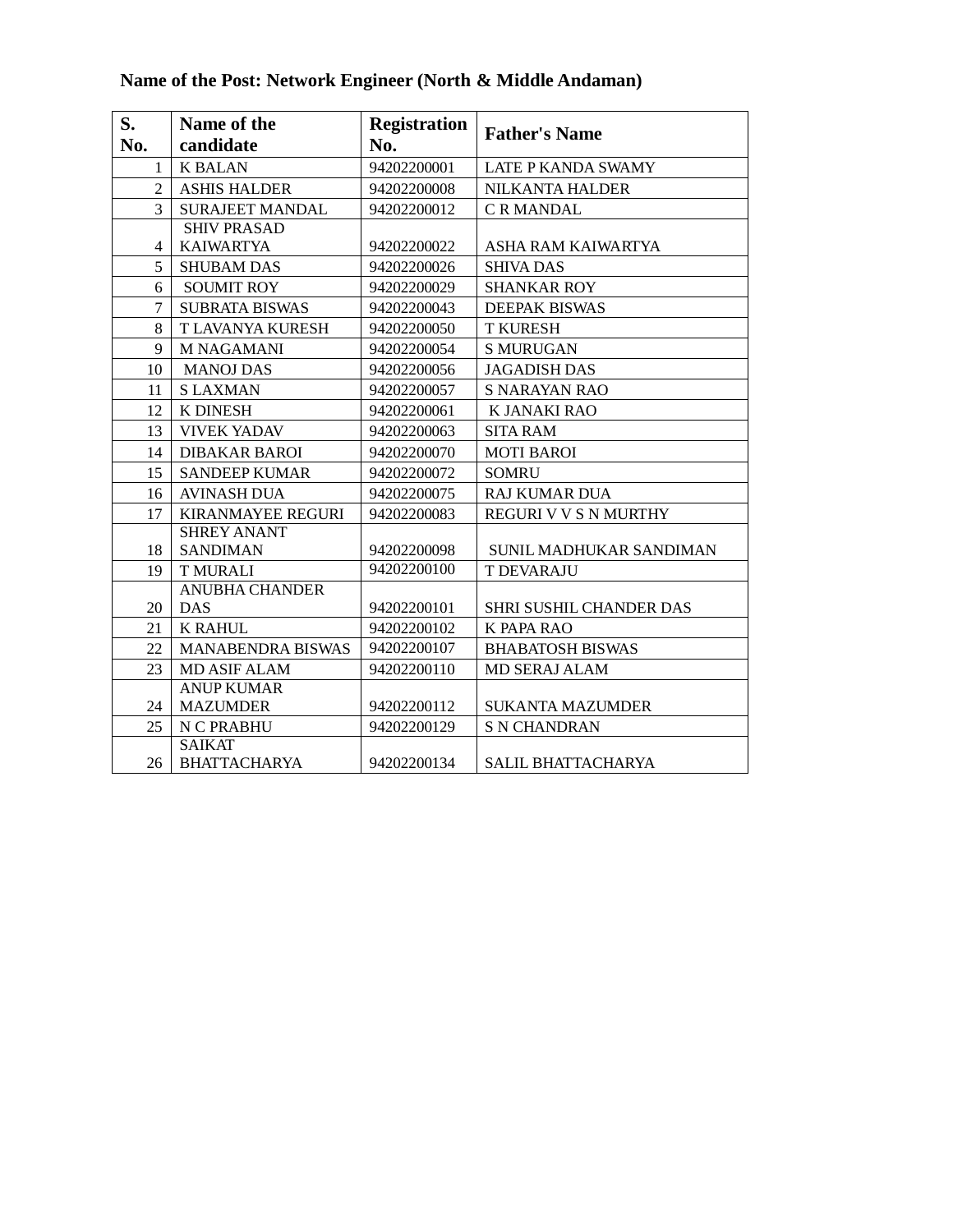| S.<br>No.      | Name of the<br>candidate             | <b>Registration</b><br>No. | <b>Father's Name</b>      |
|----------------|--------------------------------------|----------------------------|---------------------------|
| $\mathbf{1}$   | <b>K BALAN</b>                       | 94202200001                | <b>LATE P KANDA SWAMY</b> |
| $\overline{2}$ | <b>ASHIS HALDER</b>                  | 94202200008                | <b>NILKANTA HALDER</b>    |
| 3              | <b>SURAJEET MANDAL</b>               | 94202200012                | <b>C R MANDAL</b>         |
|                | <b>SHIV PRASAD</b>                   |                            |                           |
| 4              | <b>KAIWARTYA</b>                     | 94202200022                | ASHA RAM KAIWARTYA        |
| 5              | <b>SHUBAM DAS</b>                    | 94202200026                | <b>SHIVA DAS</b>          |
| 6              | <b>SOUMIT ROY</b>                    | 94202200029                | <b>SHANKAR ROY</b>        |
| 7              | <b>SUBRATA BISWAS</b>                | 94202200043                | <b>DEEPAK BISWAS</b>      |
| 8              | T LAVANYA KURESH                     | 94202200050                | <b>T KURESH</b>           |
| 9              | <b>M NAGAMANI</b>                    | 94202200054                | <b>S MURUGAN</b>          |
| 10             | <b>MANOJ DAS</b>                     | 94202200056                | <b>JAGADISH DAS</b>       |
| 11             | <b>SLAXMAN</b>                       | 94202200057                | <b>S NARAYAN RAO</b>      |
| 12             | <b>K DINESH</b>                      | 94202200061                | K JANAKI RAO              |
| 13             | <b>VIVEK YADAV</b>                   | 94202200063                | <b>SITA RAM</b>           |
| 14             | <b>DIBAKAR BAROI</b>                 | 94202200070                | <b>MOTI BAROI</b>         |
| 15             | <b>SANDEEP KUMAR</b>                 | 94202200072                | <b>SOMRU</b>              |
| 16             | <b>AVINASH DUA</b>                   | 94202200075                | <b>RAJ KUMAR DUA</b>      |
| 17             | <b>KIRANMAYEE REGURI</b>             | 94202200083                | REGURI V V S N MURTHY     |
|                | <b>SHREY ANANT</b>                   |                            |                           |
| 18             | <b>SANDIMAN</b>                      | 94202200098                | SUNIL MADHUKAR SANDIMAN   |
| 19             | <b>TMURALI</b>                       | 94202200100                | <b>T DEVARAJU</b>         |
|                | <b>ANUBHA CHANDER</b>                |                            |                           |
| 20             | <b>DAS</b>                           | 94202200101                | SHRI SUSHIL CHANDER DAS   |
| 21             | <b>K RAHUL</b>                       | 94202200102                | K PAPA RAO                |
| 22             | <b>MANABENDRA BISWAS</b>             | 94202200107                | <b>BHABATOSH BISWAS</b>   |
| 23             | <b>MD ASIF ALAM</b>                  | 94202200110                | <b>MD SERAJ ALAM</b>      |
|                | <b>ANUP KUMAR</b>                    |                            |                           |
| 24             | <b>MAZUMDER</b>                      | 94202200112                | <b>SUKANTA MAZUMDER</b>   |
| 25             | N C PRABHU                           | 94202200129                | <b>S N CHANDRAN</b>       |
| 26             | <b>SAIKAT</b><br><b>BHATTACHARYA</b> | 94202200134                | <b>SALIL BHATTACHARYA</b> |

# **Name of the Post: Network Engineer (North & Middle Andaman)**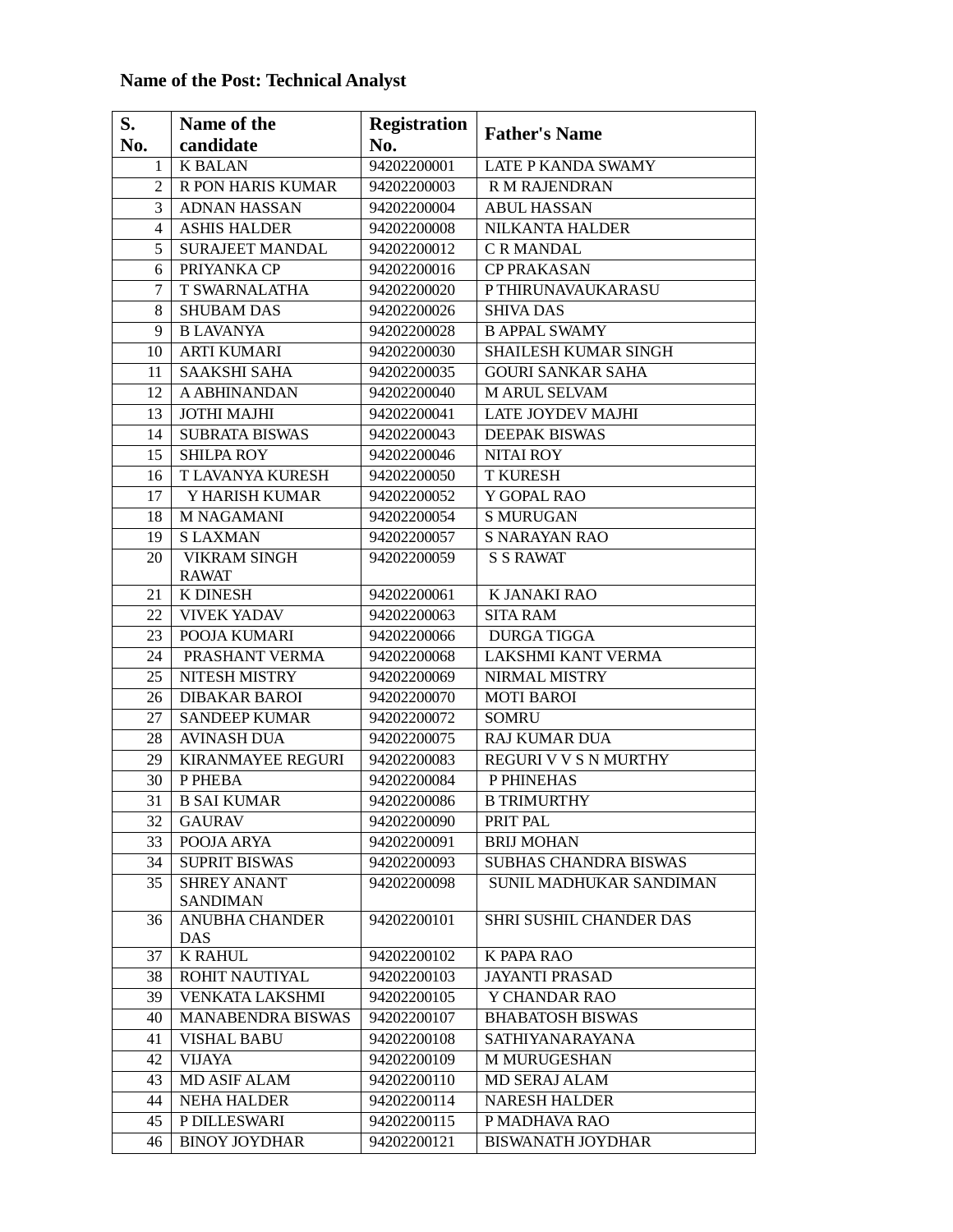## **Name of the Post: Technical Analyst**

| S.  | Name of the                           | <b>Registration</b> |                              |
|-----|---------------------------------------|---------------------|------------------------------|
| No. | candidate                             | No.                 | <b>Father's Name</b>         |
| 1   | <b>K BALAN</b>                        | 94202200001         | <b>LATE P KANDA SWAMY</b>    |
| 2   | R PON HARIS KUMAR                     | 94202200003         | R M RAJENDRAN                |
| 3   | <b>ADNAN HASSAN</b>                   | 94202200004         | <b>ABUL HASSAN</b>           |
| 4   | <b>ASHIS HALDER</b>                   | 94202200008         | NILKANTA HALDER              |
| 5   | <b>SURAJEET MANDAL</b>                | 94202200012         | C R MANDAL                   |
| 6   | PRIYANKA CP                           | 94202200016         | <b>CP PRAKASAN</b>           |
| 7   | T SWARNALATHA                         | 94202200020         | PTHIRUNAVAUKARASU            |
| 8   | <b>SHUBAM DAS</b>                     | 94202200026         | <b>SHIVA DAS</b>             |
| 9   | <b>B LAVANYA</b>                      | 94202200028         | <b>B APPAL SWAMY</b>         |
| 10  | <b>ARTI KUMARI</b>                    | 94202200030         | SHAILESH KUMAR SINGH         |
| 11  | <b>SAAKSHI SAHA</b>                   | 94202200035         | <b>GOURI SANKAR SAHA</b>     |
| 12  | A ABHINANDAN                          | 94202200040         | M ARUL SELVAM                |
| 13  | JOTHI MAJHI                           | 94202200041         | LATE JOYDEV MAJHI            |
| 14  | <b>SUBRATA BISWAS</b>                 | 94202200043         | <b>DEEPAK BISWAS</b>         |
| 15  | <b>SHILPA ROY</b>                     | 94202200046         | <b>NITAI ROY</b>             |
| 16  | T LAVANYA KURESH                      | 94202200050         | <b>T KURESH</b>              |
| 17  | Y HARISH KUMAR                        | 94202200052         | Y GOPAL RAO                  |
| 18  | <b>M NAGAMANI</b>                     | 94202200054         | <b>S MURUGAN</b>             |
| 19  | <b>SLAXMAN</b>                        | 94202200057         | <b>S NARAYAN RAO</b>         |
| 20  | <b>VIKRAM SINGH</b>                   | 94202200059         | <b>S S RAWAT</b>             |
|     | <b>RAWAT</b>                          |                     |                              |
| 21  | K DINESH                              | 94202200061         | K JANAKI RAO                 |
| 22  | <b>VIVEK YADAV</b>                    | 94202200063         | <b>SITA RAM</b>              |
| 23  | POOJA KUMARI                          | 94202200066         | <b>DURGA TIGGA</b>           |
| 24  | PRASHANT VERMA                        | 94202200068         | LAKSHMI KANT VERMA           |
| 25  | NITESH MISTRY                         | 94202200069         | NIRMAL MISTRY                |
| 26  | <b>DIBAKAR BAROI</b>                  | 94202200070         | <b>MOTI BAROI</b>            |
| 27  | <b>SANDEEP KUMAR</b>                  | 94202200072         | <b>SOMRU</b>                 |
| 28  | <b>AVINASH DUA</b>                    | 94202200075         | <b>RAJ KUMAR DUA</b>         |
| 29  | <b>KIRANMAYEE REGURI</b>              | 94202200083         | <b>REGURI V V S N MURTHY</b> |
| 30  | P PHEBA                               | 94202200084         | P PHINEHAS                   |
| 31  | <b>B SAI KUMAR</b>                    | 94202200086         | <b>B TRIMURTHY</b>           |
| 32  | <b>GAURAV</b>                         | 94202200090         | PRIT PAL                     |
| 33  | POOJA ARYA                            | 94202200091         | <b>BRIJ MOHAN</b>            |
| 34  | <b>SUPRIT BISWAS</b>                  | 94202200093         | SUBHAS CHANDRA BISWAS        |
| 35  | <b>SHREY ANANT</b><br><b>SANDIMAN</b> | 94202200098         | SUNIL MADHUKAR SANDIMAN      |
| 36  | <b>ANUBHA CHANDER</b>                 | 94202200101         | SHRI SUSHIL CHANDER DAS      |
|     | DAS                                   |                     |                              |
| 37  | <b>K RAHUL</b>                        | 94202200102         | K PAPA RAO                   |
| 38  | ROHIT NAUTIYAL                        | 94202200103         | <b>JAYANTI PRASAD</b>        |
| 39  | <b>VENKATA LAKSHMI</b>                | 94202200105         | Y CHANDAR RAO                |
| 40  | <b>MANABENDRA BISWAS</b>              | 94202200107         | <b>BHABATOSH BISWAS</b>      |
| 41  | <b>VISHAL BABU</b>                    | 94202200108         | SATHIYANARAYANA              |
| 42  | <b>VIJAYA</b>                         | 94202200109         | <b>M MURUGESHAN</b>          |
| 43  | MD ASIF ALAM                          | 94202200110         | MD SERAJ ALAM                |
| 44  | <b>NEHA HALDER</b>                    | 94202200114         | <b>NARESH HALDER</b>         |
| 45  | P DILLESWARI                          | 94202200115         | P MADHAVA RAO                |
| 46  | <b>BINOY JOYDHAR</b>                  | 94202200121         | <b>BISWANATH JOYDHAR</b>     |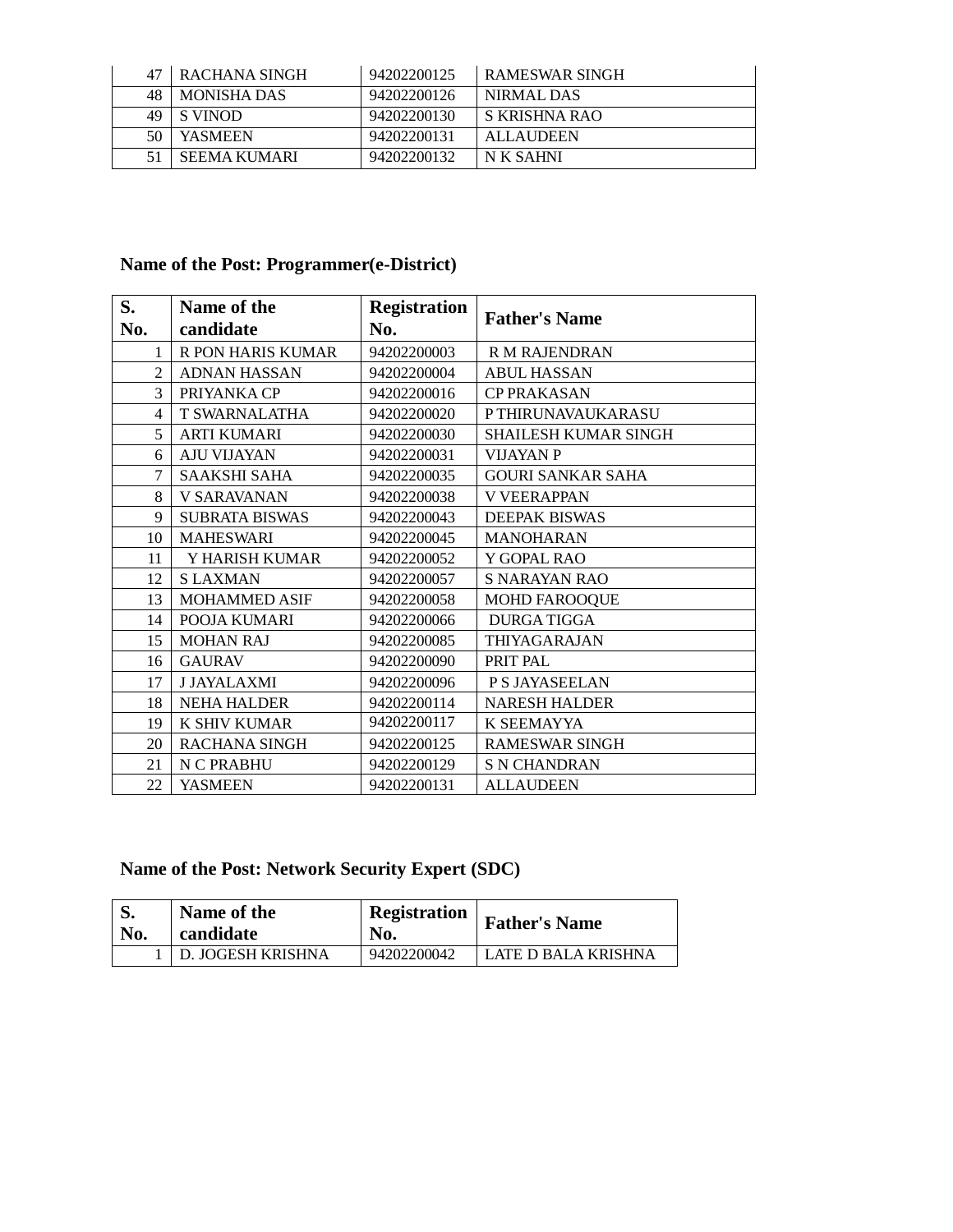| 47 | <b>ERACHANA SINGH</b> | 94202200125 | RAMESWAR SINGH   |
|----|-----------------------|-------------|------------------|
| 48 | <b>MONISHA DAS</b>    | 94202200126 | NIRMAL DAS       |
| 49 | S VINOD               | 94202200130 | S KRISHNA RAO    |
|    | <b>YASMEEN</b>        | 94202200131 | <b>ALLAUDEEN</b> |
|    | SEEMA KUMARI          | 94202200132 | N K SAHNI        |

## **Name of the Post: Programmer(e-District)**

| S.<br>No. | Name of the<br>candidate | <b>Registration</b><br>No. | <b>Father's Name</b>        |
|-----------|--------------------------|----------------------------|-----------------------------|
|           | <b>R PON HARIS KUMAR</b> | 94202200003                | <b>R M RAJENDRAN</b>        |
| 2         | <b>ADNAN HASSAN</b>      | 94202200004                | <b>ABUL HASSAN</b>          |
| 3         | PRIYANKA CP              | 94202200016                | <b>CP PRAKASAN</b>          |
| 4         | <b>T SWARNALATHA</b>     | 94202200020                | <b>PTHIRUNAVAUKARASU</b>    |
| 5         | <b>ARTI KUMARI</b>       | 94202200030                | <b>SHAILESH KUMAR SINGH</b> |
| 6         | <b>AJU VIJAYAN</b>       | 94202200031                | <b>VIJAYAN P</b>            |
| 7         | <b>SAAKSHI SAHA</b>      | 94202200035                | <b>GOURI SANKAR SAHA</b>    |
| 8         | V SARAVANAN              | 94202200038                | <b>V VEERAPPAN</b>          |
| 9         | <b>SUBRATA BISWAS</b>    | 94202200043                | <b>DEEPAK BISWAS</b>        |
| 10        | <b>MAHESWARI</b>         | 94202200045                | <b>MANOHARAN</b>            |
| 11        | Y HARISH KUMAR           | 94202200052                | Y GOPAL RAO                 |
| 12        | <b>SLAXMAN</b>           | 94202200057                | S NARAYAN RAO               |
| 13        | <b>MOHAMMED ASIF</b>     | 94202200058                | <b>MOHD FAROOQUE</b>        |
| 14        | POOJA KUMARI             | 94202200066                | DURGA TIGGA                 |
| 15        | <b>MOHAN RAJ</b>         | 94202200085                | THIYAGARAJAN                |
| 16        | <b>GAURAV</b>            | 94202200090                | PRIT PAL                    |
| 17        | <b>J JAYALAXMI</b>       | 94202200096                | <b>PS JAYASEELAN</b>        |
| 18        | <b>NEHA HALDER</b>       | 94202200114                | <b>NARESH HALDER</b>        |
| 19        | K SHIV KUMAR             | 94202200117                | K SEEMAYYA                  |
| 20        | <b>RACHANA SINGH</b>     | 94202200125                | <b>RAMESWAR SINGH</b>       |
| 21        | N C PRABHU               | 94202200129                | <b>S N CHANDRAN</b>         |
| 22        | <b>YASMEEN</b>           | 94202200131                | <b>ALLAUDEEN</b>            |

# **Name of the Post: Network Security Expert (SDC)**

| No. | Name of the<br>candidate | Registration<br>No. | <b>Father's Name</b> |
|-----|--------------------------|---------------------|----------------------|
|     | D. JOGESH KRISHNA        | 94202200042         | LATE D BALA KRISHNA  |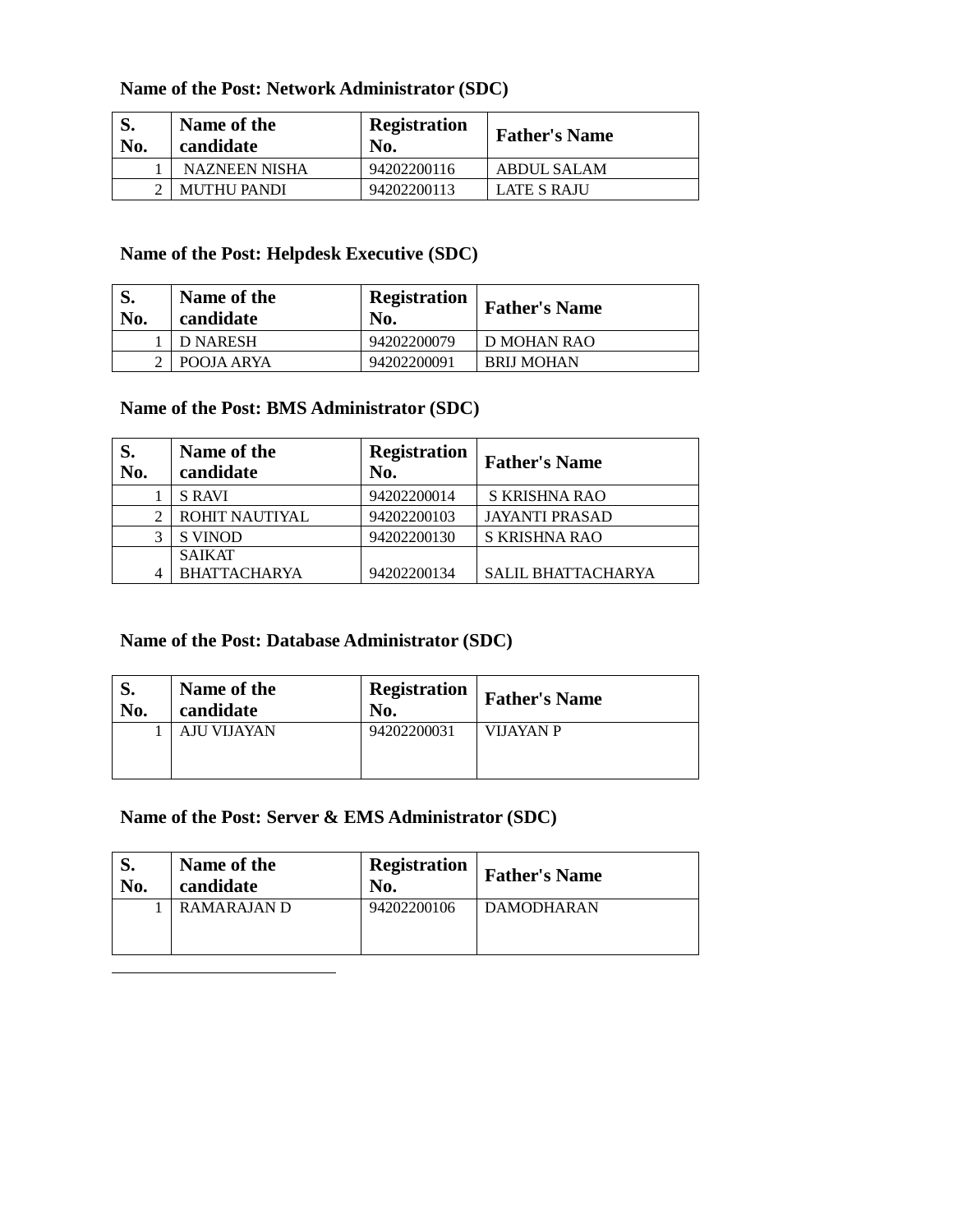#### **Name of the Post: Network Administrator (SDC)**

| d.<br>No. | Name of the<br>candidate | <b>Registration</b><br>No. | <b>Father's Name</b> |
|-----------|--------------------------|----------------------------|----------------------|
|           | <b>NAZNEEN NISHA</b>     | 94202200116                | ABDUL SALAM          |
|           | <b>MUTHU PANDI</b>       | 94202200113                | <b>LATE S RAJU</b>   |

#### **Name of the Post: Helpdesk Executive (SDC)**

| No. | Name of the<br>candidate | <b>Registration</b><br>No. | <b>Father's Name</b> |
|-----|--------------------------|----------------------------|----------------------|
|     | D NARESH                 | 94202200079                | D MOHAN RAO          |
|     | POOJA ARYA               | 94202200091                | <b>BRIJ MOHAN</b>    |

#### **Name of the Post: BMS Administrator (SDC)**

| S.<br>No. | Name of the<br>candidate             | <b>Registration</b><br>No. | <b>Father's Name</b>      |
|-----------|--------------------------------------|----------------------------|---------------------------|
|           | <b>S RAVI</b>                        | 94202200014                | S KRISHNA RAO             |
|           | ROHIT NAUTIYAL                       | 94202200103                | <b>JAYANTI PRASAD</b>     |
|           | <b>S VINOD</b>                       | 94202200130                | S KRISHNA RAO             |
| 4         | <b>SAIKAT</b><br><b>BHATTACHARYA</b> | 94202200134                | <b>SALIL BHATTACHARYA</b> |

#### **Name of the Post: Database Administrator (SDC)**

| J.  | Name of the        | <b>Registration</b> | <b>Father's Name</b> |
|-----|--------------------|---------------------|----------------------|
| No. | candidate          | No.                 |                      |
|     | <b>AJU VIJAYAN</b> | 94202200031         | VIJAYAN P            |

#### **Name of the Post: Server & EMS Administrator (SDC)**

| No. | Name of the<br>candidate | <b>Registration</b><br>No. | <b>Father's Name</b> |
|-----|--------------------------|----------------------------|----------------------|
|     | RAMARAJAN D              | 94202200106                | DAMODHARAN           |